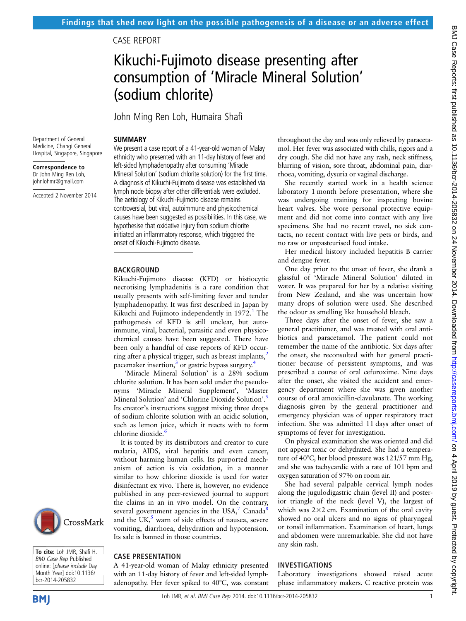# CASE REPORT

# Kikuchi-Fujimoto disease presenting after consumption of 'Miracle Mineral Solution' (sodium chlorite)

John Ming Ren Loh, Humaira Shafi

#### **SUMMARY**

Department of General Medicine, Changi General Hospital, Singapore, Singapore

#### Correspondence to Dr John Ming Ren Loh, johnlohmr@gmail.com

Accepted 2 November 2014

We present a case report of a 41-year-old woman of Malay ethnicity who presented with an 11-day history of fever and left-sided lymphadenopathy after consuming 'Miracle Mineral Solution' (sodium chlorite solution) for the first time. A diagnosis of Kikuchi-Fujimoto disease was established via lymph node biopsy after other differentials were excluded. The aetiology of Kikuchi-Fujimoto disease remains controversial, but viral, autoimmune and physicochemical causes have been suggested as possibilities. In this case, we hypothesise that oxidative injury from sodium chlorite initiated an inflammatory response, which triggered the onset of Kikuchi-Fujimoto disease.

#### BACKGROUND

Kikuchi-Fujimoto disease (KFD) or histiocytic necrotising lymphadenitis is a rare condition that usually presents with self-limiting fever and tender lymphadenopathy. It was first described in Japan by Kikuchi and Fujimoto independently in  $1972<sup>1</sup>$  $1972<sup>1</sup>$ . The pathogenesis of KFD is still unclear, but autoimmune, viral, bacterial, parasitic and even physicochemical causes have been suggested. There have been only a handful of case reports of KFD occurring after a physical trigger, such as breast implants, $\hat{i}$ pacemaker insertion,<sup>3</sup> or gastric bypass surgery.<sup>[4](#page-2-0)</sup>

'Miracle Mineral Solution' is a 28% sodium chlorite solution. It has been sold under the pseudonyms 'Miracle Mineral Supplement', 'Master Mineral Solution' and 'Chlorine Dioxide Solution'. [5](#page-2-0) Its creator's instructions suggest mixing three drops of sodium chlorite solution with an acidic solution, such as lemon juice, which it reacts with to form chlorine dioxide.<sup>[6](#page-2-0)</sup>

It is touted by its distributors and creator to cure malaria, AIDS, viral hepatitis and even cancer, without harming human cells. Its purported mechanism of action is via oxidation, in a manner similar to how chlorine dioxide is used for water disinfectant ex vivo. There is, however, no evidence published in any peer-reviewed journal to support the claims in an in vivo model. On the contrary, several government agencies in the USA, $\overline{Q}$  Canada<sup>[8](#page-2-0)</sup> and the UK, $<sup>5</sup>$  $<sup>5</sup>$  $<sup>5</sup>$  warn of side effects of nausea, severe</sup> vomiting, diarrhoea, dehydration and hypotension. Its sale is banned in those countries.

#### CASE PRESENTATION

A 41-year-old woman of Malay ethnicity presented with an 11-day history of fever and left-sided lymphadenopathy. Her fever spiked to 40°C, was constant throughout the day and was only relieved by paracetamol. Her fever was associated with chills, rigors and a dry cough. She did not have any rash, neck stiffness, blurring of vision, sore throat, abdominal pain, diarrhoea, vomiting, dysuria or vaginal discharge.

She recently started work in a health science laboratory 1 month before presentation, where she was undergoing training for inspecting bovine heart valves. She wore personal protective equipment and did not come into contact with any live specimens. She had no recent travel, no sick contacts, no recent contact with live pets or birds, and no raw or unpasteurised food intake.

Her medical history included hepatitis B carrier and dengue fever.

One day prior to the onset of fever, she drank a glassful of 'Miracle Mineral Solution' diluted in water. It was prepared for her by a relative visiting from New Zealand, and she was uncertain how many drops of solution were used. She described the odour as smelling like household bleach.

Three days after the onset of fever, she saw a general practitioner, and was treated with oral antibiotics and paracetamol. The patient could not remember the name of the antibiotic. Six days after the onset, she reconsulted with her general practitioner because of persistent symptoms, and was prescribed a course of oral cefuroxime. Nine days after the onset, she visited the accident and emergency department where she was given another course of oral amoxicillin-clavulanate. The working diagnosis given by the general practitioner and emergency physician was of upper respiratory tract infection. She was admitted 11 days after onset of symptoms of fever for investigation.

On physical examination she was oriented and did not appear toxic or dehydrated. She had a temperature of 40°C, her blood pressure was 121/57 mm Hg, and she was tachycardic with a rate of 101 bpm and oxygen saturation of 97% on room air.

She had several palpable cervical lymph nodes along the jugulodigastric chain (level II) and posterior triangle of the neck (level V), the largest of which was 2×2 cm. Examination of the oral cavity showed no oral ulcers and no signs of pharyngeal or tonsil inflammation. Examination of heart, lungs and abdomen were unremarkable. She did not have any skin rash.

#### INVESTIGATIONS

Laboratory investigations showed raised acute phase inflammatory makers. C reactive protein was



To cite: Loh JMR, Shafi H. BMJ Case Rep Published online: [please include Day Month Year] doi:10.1136/ bcr-2014-205832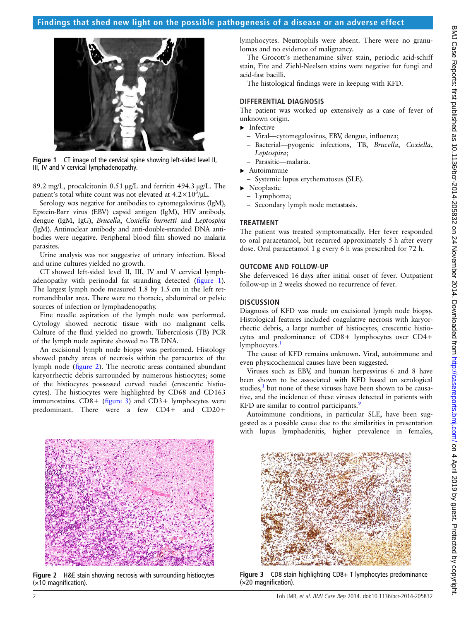

Figure 1 CT image of the cervical spine showing left-sided level II, III, IV and V cervical lymphadenopathy.

89.2 mg/L, procalcitonin 0.51 μg/L and ferritin 494.3 μg/L. The patient's total white count was not elevated at  $4.2 \times 10^3/\mu L$ .

Serology was negative for antibodies to cytomegalovirus (IgM), Epstein-Barr virus (EBV) capsid antigen (IgM), HIV antibody, dengue (IgM, IgG), Brucella, Coxiella burnetti and Leptospira (IgM). Antinuclear antibody and anti-double-stranded DNA antibodies were negative. Peripheral blood film showed no malaria parasites.

Urine analysis was not suggestive of urinary infection. Blood and urine cultures yielded no growth.

CT showed left-sided level II, III, IV and V cervical lymphadenopathy with perinodal fat stranding detected (figure 1). The largest lymph node measured 1.8 by 1.5 cm in the left retromandibular area. There were no thoracic, abdominal or pelvic sources of infection or lymphadenopathy.

Fine needle aspiration of the lymph node was performed. Cytology showed necrotic tissue with no malignant cells. Culture of the fluid yielded no growth. Tuberculosis (TB) PCR of the lymph node aspirate showed no TB DNA.

An excisional lymph node biopsy was performed. Histology showed patchy areas of necrosis within the paracortex of the lymph node (figure 2). The necrotic areas contained abundant karyorrhectic debris surrounded by numerous histiocytes; some of the histiocytes possessed curved nuclei (crescentic histiocytes). The histiocytes were highlighted by CD68 and CD163 immunostains. CD8+ (figure 3) and CD3+ lymphocytes were predominant. There were a few CD4+ and CD20+



Figure 2 H&E stain showing necrosis with surrounding histiocytes (×10 magnification).

lymphocytes. Neutrophils were absent. There were no granulomas and no evidence of malignancy.

The Grocott's methenamine silver stain, periodic acid-schiff stain, Fite and Ziehl-Neelsen stains were negative for fungi and acid-fast bacilli.

The histological findings were in keeping with KFD.

# DIFFERENTIAL DIAGNOSIS

The patient was worked up extensively as a case of fever of unknown origin.

- **Infective** 
	- Viral—cytomegalovirus, EBV, dengue, influenza;
	- Bacterial—pyogenic infections, TB, Brucella, Coxiella, Leptospira;
- Parasitic—malaria.
- ▸ Autoimmune
- Systemic lupus erythematosus (SLE).
- ▸ Neoplastic
	- Lymphoma;
	- Secondary lymph node metastasis.

# TREATMENT

The patient was treated symptomatically. Her fever responded to oral paracetamol, but recurred approximately 5 h after every dose. Oral paracetamol 1 g every 6 h was prescribed for 72 h.

### OUTCOME AND FOLLOW-UP

She defervesced 16 days after initial onset of fever. Outpatient follow-up in 2 weeks showed no recurrence of fever.

# **DISCUSSION**

Diagnosis of KFD was made on excisional lymph node biopsy. Histological features included coagulative necrosis with karyorrhectic debris, a large number of histiocytes, crescentic histiocytes and predominance of CD8+ lymphocytes over CD4+ lymphocytes.<sup>[1](#page-2-0)</sup>

The cause of KFD remains unknown. Viral, autoimmune and even physicochemical causes have been suggested.

Viruses such as EBV, and human herpesvirus 6 and 8 have been shown to be associated with KFD based on serological studies, $\frac{1}{1}$  $\frac{1}{1}$  $\frac{1}{1}$  but none of these viruses have been shown to be causative, and the incidence of these viruses detected in patients with KFD are similar to control participants.<sup>[9](#page-2-0)</sup>

Autoimmune conditions, in particular SLE, have been suggested as a possible cause due to the similarities in presentation with lupus lymphadenitis, higher prevalence in females,



Figure 3 CD8 stain highlighting CD8+ T lymphocytes predominance (×20 magnification).